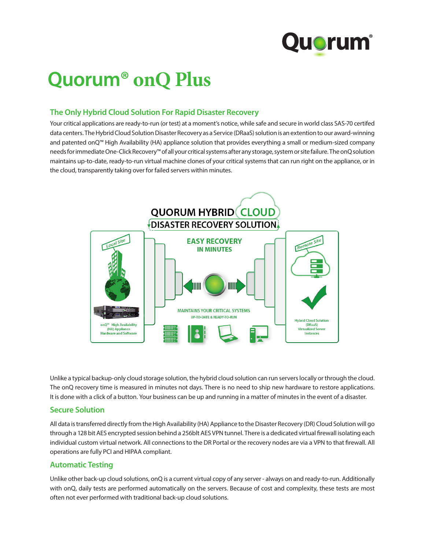

# **Quorum® onQ Plus**

## **The Only Hybrid Cloud Solution For Rapid Disaster Recovery**

Your critical applications are ready-to-run (or test) at a moment's notice, while safe and secure in world class SAS-70 certifed data centers. The Hybrid Cloud Solution Disaster Recovery as a Service (DRaaS) solution is an extention to our award-winning and patented onQ™ High Availability (HA) appliance solution that provides everything a small or medium-sized company needs for immediate One-Click Recovery™ of all your critical systems after any storage, system or site failure. The onQ solution maintains up-to-date, ready-to-run virtual machine clones of your critical systems that can run right on the appliance, or in the cloud, transparently taking over for failed servers within minutes.



Unlike a typical backup-only cloud storage solution, the hybrid cloud solution can run servers locally or through the cloud. The onQ recovery time is measured in minutes not days. There is no need to ship new hardware to restore applications. It is done with a click of a button. Your business can be up and running in a matter of minutes in the event of a disaster.

### **Secure Solution**

All data is transferred directly from the High Availability (HA) Appliance to the Disaster Recovery (DR) Cloud Solution will go through a 128 bit AES encrypted session behind a 256blt AES VPN tunnel. There is a dedicated virtual firewall isolating each individual custom virtual network. All connections to the DR Portal or the recovery nodes are via a VPN to that firewall. All operations are fully PCI and HIPAA compliant.

## **Automatic Testing**

Unlike other back-up cloud solutions, onQ is a current virtual copy of any server - always on and ready-to-run. Additionally with onQ, daily tests are performed automatically on the servers. Because of cost and complexity, these tests are most often not ever performed with traditional back-up cloud solutions.